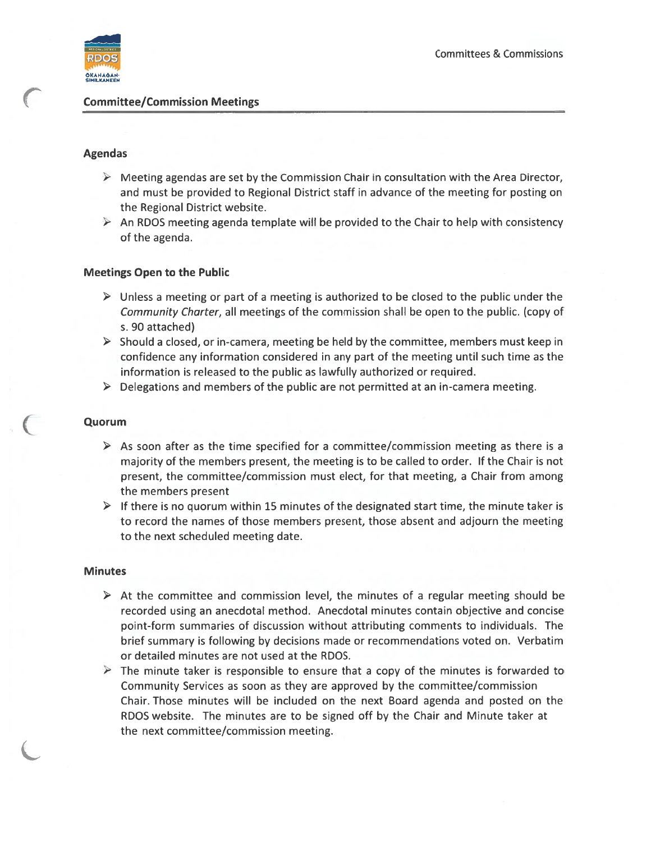

## Agendas

- $\triangleright$  Meeting agendas are set by the Commission Chair in consultation with the Area Director, and must be provided to Regional District staff in advance of the meeting for posting on the Regional District website.
- $\triangleright$  An RDOS meeting agenda template will be provided to the Chair to help with consistency of the agenda.

# Meetings Open to the Public

- $\triangleright$  Unless a meeting or part of a meeting is authorized to be closed to the public under the Community Charter, all meetings of the commission shall be open to the public. (copy of s. 90 attached)
- $\triangleright$  Should a closed, or in-camera, meeting be held by the committee, members must keep in confidence any information considered in any par<sup>t</sup> of the meeting until such time as the information is released to the public as lawfully authorized or required.
- $\triangleright$  Delegations and members of the public are not permitted at an in-camera meeting.

## Quorum

- $\triangleright$  As soon after as the time specified for a committee/commission meeting as there is a majority of the members present, the meeting is to be called to order. If the Chair is not present, the committee/commission must elect, for that meeting, <sup>a</sup> Chair from among the members presen<sup>t</sup>
- $\triangleright$  If there is no quorum within 15 minutes of the designated start time, the minute taker is to record the names of those members present, those absent and adjourn the meeting to the next scheduled meeting date.

#### Minutes

- $\triangleright$  At the committee and commission level, the minutes of a regular meeting should be recorded using an anecdotal method. Anecdotal minutes contain objective and concise point-form summaries of discussion without attributing comments to individuals. The brief summary is following by decisions made or recommendations voted on. Verbatim or detailed minutes are not used at the RDOS.
- $\triangleright$  The minute taker is responsible to ensure that a copy of the minutes is forwarded to Community Services as soon as they are approved by the committee/commission Chair. Those minutes will be included on the next Board agenda and posted on the RDOS website. The minutes are to be signed off by the Chair and Minute taker at the next committee/commission meeting.